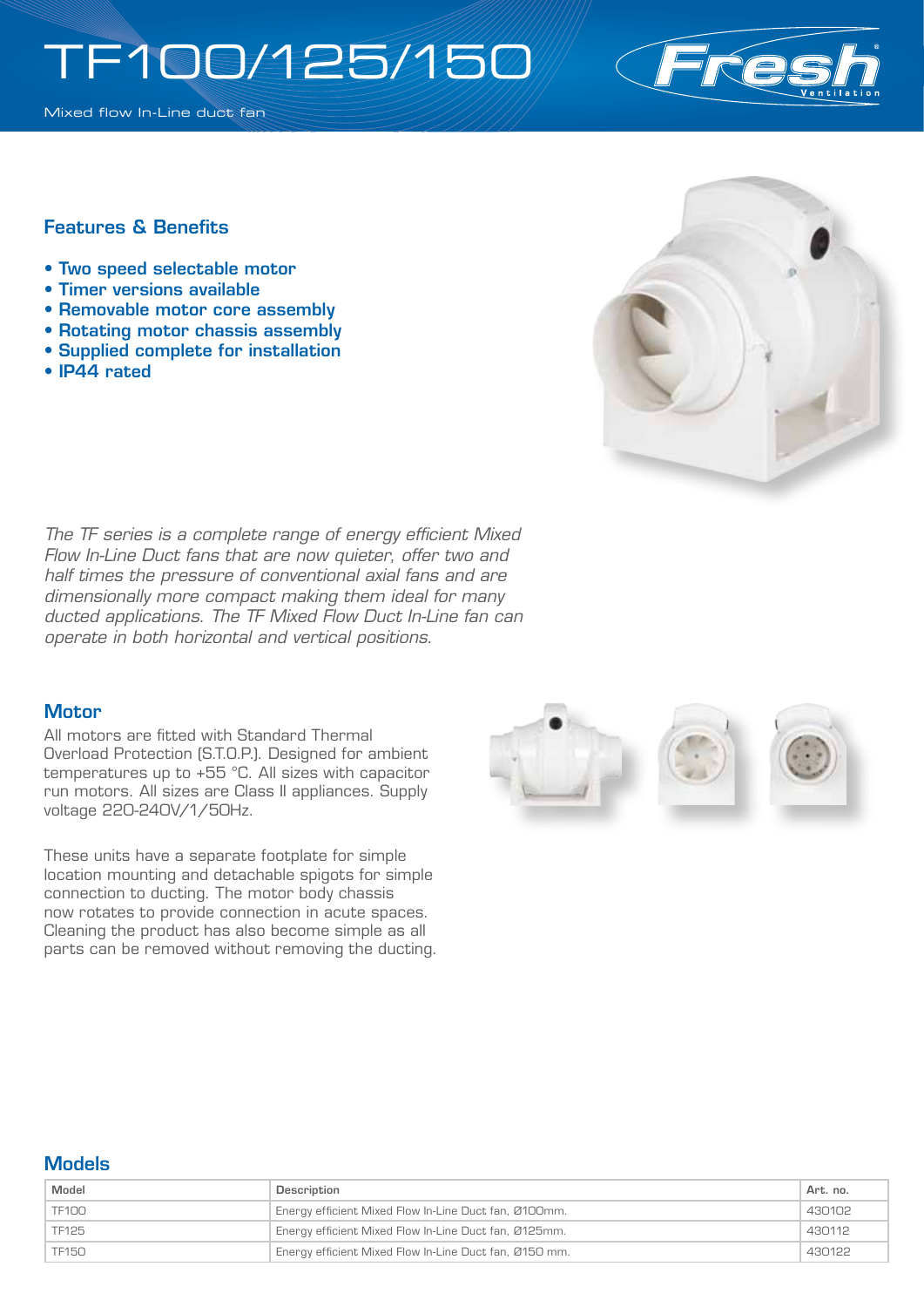# TF100/125/150

Mixed flow In-Line duct fan



### Features & Benefits

- Two speed selectable motor
- Timer versions available
- Removable motor core assembly
- Rotating motor chassis assembly
- Supplied complete for installation
- IP44 rated



*The TF series is a complete range of energy efficient Mixed Flow In-Line Duct fans that are now quieter, offer two and half times the pressure of conventional axial fans and are dimensionally more compact making them ideal for many ducted applications. The TF Mixed Flow Duct In-Line fan can operate in both horizontal and vertical positions.*

#### **Motor**

All motors are fitted with Standard Thermal Overload Protection (S.T.O.P.). Designed for ambient temperatures up to +55 °C. All sizes with capacitor run motors. All sizes are Class II appliances. Supply voltage 220-240V/1/50Hz.

These units have a separate footplate for simple location mounting and detachable spigots for simple connection to ducting. The motor body chassis now rotates to provide connection in acute spaces. Cleaning the product has also become simple as all parts can be removed without removing the ducting.



#### **Models**

| Model        | Description                                            | Art. no. |
|--------------|--------------------------------------------------------|----------|
| TF100        | Energy efficient Mixed Flow In-Line Duct fan, Ø100mm.  | 430102   |
| TF125        | Energy efficient Mixed Flow In-Line Duct fan, Ø125mm.  | 430112   |
| <b>TF150</b> | Energy efficient Mixed Flow In-Line Duct fan, Ø150 mm. | 430122   |